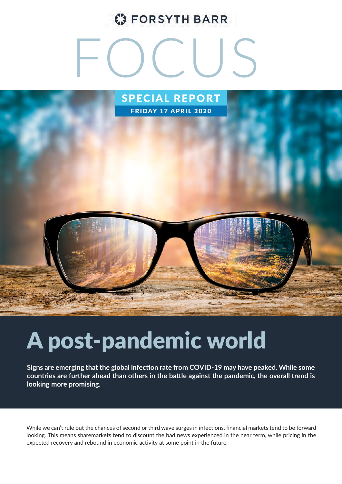### **C** FORSYTH BARR

# FOCUS



## A post-pandemic world

**Signs are emerging that the global infection rate from COVID-19 may have peaked. While some countries are further ahead than others in the battle against the pandemic, the overall trend is looking more promising.** 

While we can't rule out the chances of second or third wave surges in infections, financial markets tend to be forward looking. This means sharemarkets tend to discount the bad news experienced in the near term, while pricing in the expected recovery and rebound in economic activity at some point in the future.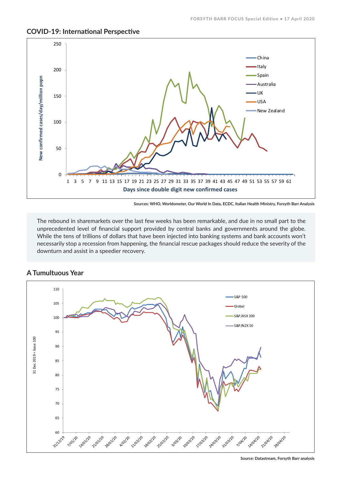

#### **COVID-19: International Perspective**

The rebound in sharemarkets over the last few weeks has been remarkable, and due in no small part to the unprecedented level of financial support provided by central banks and governments around the globe. While the tens of trillions of dollars that have been injected into banking systems and bank accounts won't necessarily stop a recession from happening, the financial rescue packages should reduce the severity of the downturn and assist in a speedier recovery.



#### **A Tumultuous Year**

**Sources: WHO, Worldometer, Our World In Data, ECDC, Italian Health Ministry, Forsyth Barr Analysis**

**Source: Datastream, Forsyth Barr analysis**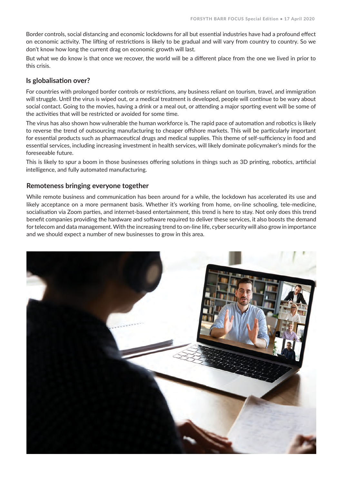Border controls, social distancing and economic lockdowns for all but essential industries have had a profound effect on economic activity. The lifting of restrictions is likely to be gradual and will vary from country to country. So we don't know how long the current drag on economic growth will last.

But what we do know is that once we recover, the world will be a different place from the one we lived in prior to this crisis.

#### **Is globalisation over?**

For countries with prolonged border controls or restrictions, any business reliant on tourism, travel, and immigration will struggle. Until the virus is wiped out, or a medical treatment is developed, people will continue to be wary about social contact. Going to the movies, having a drink or a meal out, or attending a major sporting event will be some of the activities that will be restricted or avoided for some time.

The virus has also shown how vulnerable the human workforce is. The rapid pace of automation and robotics is likely to reverse the trend of outsourcing manufacturing to cheaper offshore markets. This will be particularly important for essential products such as pharmaceutical drugs and medical supplies. This theme of self-sufficiency in food and essential services, including increasing investment in health services, will likely dominate policymaker's minds for the foreseeable future.

This is likely to spur a boom in those businesses offering solutions in things such as 3D printing, robotics, artificial intelligence, and fully automated manufacturing.

#### **Remoteness bringing everyone together**

While remote business and communication has been around for a while, the lockdown has accelerated its use and likely acceptance on a more permanent basis. Whether it's working from home, on-line schooling, tele-medicine, socialisation via Zoom parties, and internet-based entertainment, this trend is here to stay. Not only does this trend benefit companies providing the hardware and software required to deliver these services, it also boosts the demand for telecom and data management. With the increasing trend to on-line life, cyber security will also grow in importance and we should expect a number of new businesses to grow in this area.